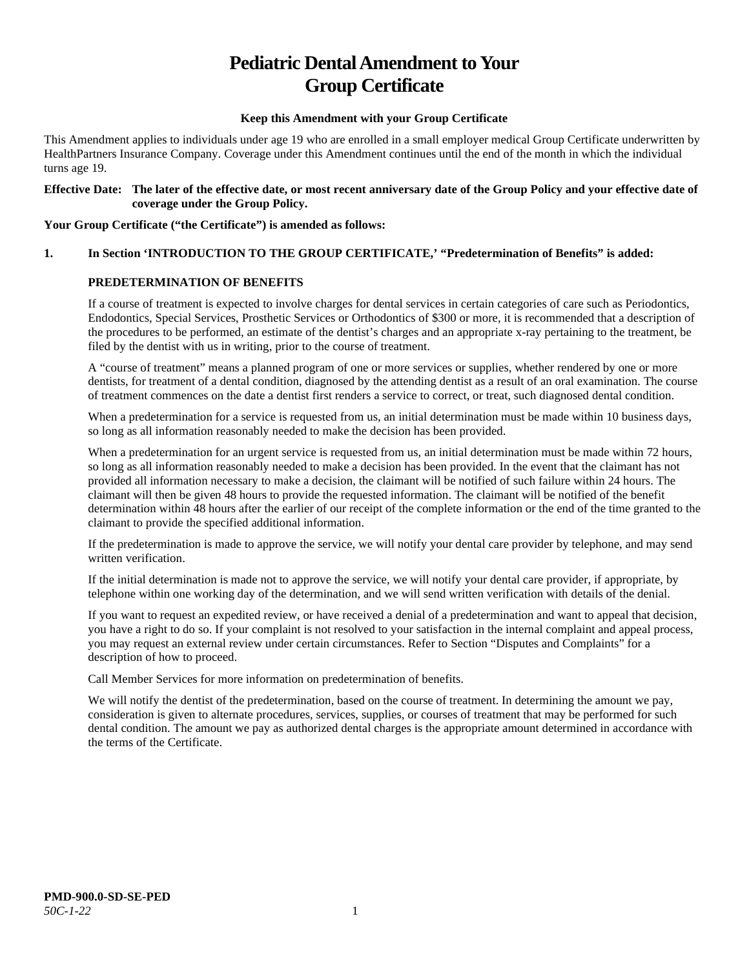# **Pediatric Dental Amendment to Your Group Certificate**

#### **Keep this Amendment with your Group Certificate**

This Amendment applies to individuals under age 19 who are enrolled in a small employer medical Group Certificate underwritten by HealthPartners Insurance Company. Coverage under this Amendment continues until the end of the month in which the individual turns age 19.

#### **Effective Date: The later of the effective date, or most recent anniversary date of the Group Policy and your effective date of coverage under the Group Policy.**

#### **Your Group Certificate ("the Certificate") is amended as follows:**

# **1. In Section 'INTRODUCTION TO THE GROUP CERTIFICATE,' "Predetermination of Benefits" is added:**

# **PREDETERMINATION OF BENEFITS**

If a course of treatment is expected to involve charges for dental services in certain categories of care such as Periodontics, Endodontics, Special Services, Prosthetic Services or Orthodontics of \$300 or more, it is recommended that a description of the procedures to be performed, an estimate of the dentist's charges and an appropriate x-ray pertaining to the treatment, be filed by the dentist with us in writing, prior to the course of treatment.

A "course of treatment" means a planned program of one or more services or supplies, whether rendered by one or more dentists, for treatment of a dental condition, diagnosed by the attending dentist as a result of an oral examination. The course of treatment commences on the date a dentist first renders a service to correct, or treat, such diagnosed dental condition.

When a predetermination for a service is requested from us, an initial determination must be made within 10 business days, so long as all information reasonably needed to make the decision has been provided.

When a predetermination for an urgent service is requested from us, an initial determination must be made within 72 hours, so long as all information reasonably needed to make a decision has been provided. In the event that the claimant has not provided all information necessary to make a decision, the claimant will be notified of such failure within 24 hours. The claimant will then be given 48 hours to provide the requested information. The claimant will be notified of the benefit determination within 48 hours after the earlier of our receipt of the complete information or the end of the time granted to the claimant to provide the specified additional information.

If the predetermination is made to approve the service, we will notify your dental care provider by telephone, and may send written verification.

If the initial determination is made not to approve the service, we will notify your dental care provider, if appropriate, by telephone within one working day of the determination, and we will send written verification with details of the denial.

If you want to request an expedited review, or have received a denial of a predetermination and want to appeal that decision, you have a right to do so. If your complaint is not resolved to your satisfaction in the internal complaint and appeal process, you may request an external review under certain circumstances. Refer to Section "Disputes and Complaints" for a description of how to proceed.

Call Member Services for more information on predetermination of benefits.

We will notify the dentist of the predetermination, based on the course of treatment. In determining the amount we pay, consideration is given to alternate procedures, services, supplies, or courses of treatment that may be performed for such dental condition. The amount we pay as authorized dental charges is the appropriate amount determined in accordance with the terms of the Certificate.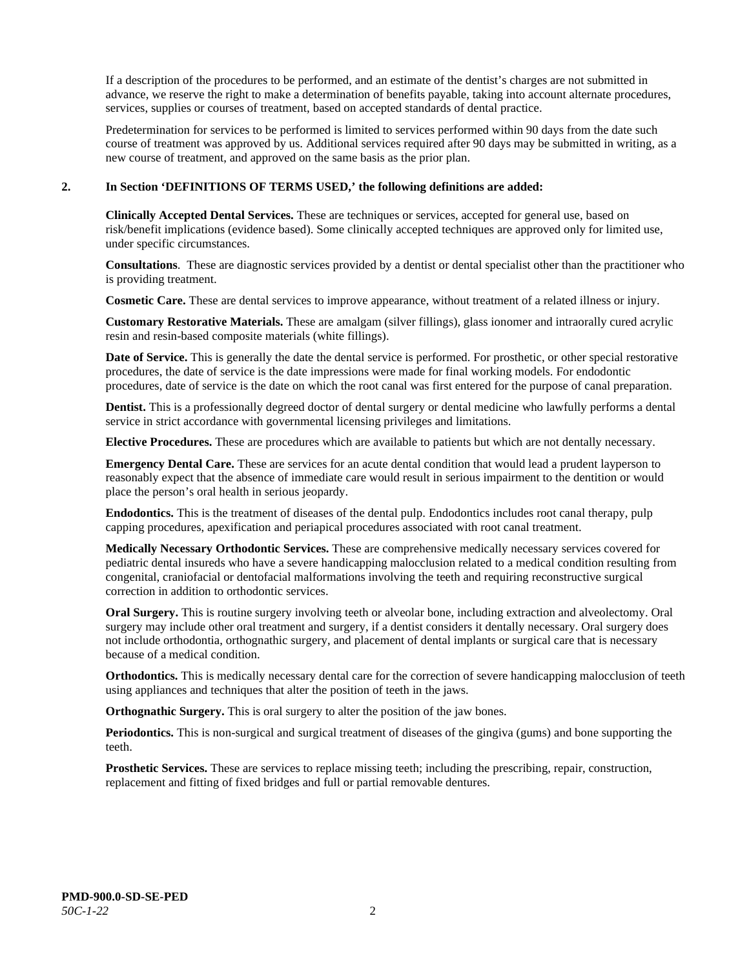If a description of the procedures to be performed, and an estimate of the dentist's charges are not submitted in advance, we reserve the right to make a determination of benefits payable, taking into account alternate procedures, services, supplies or courses of treatment, based on accepted standards of dental practice.

Predetermination for services to be performed is limited to services performed within 90 days from the date such course of treatment was approved by us. Additional services required after 90 days may be submitted in writing, as a new course of treatment, and approved on the same basis as the prior plan.

#### **2. In Section 'DEFINITIONS OF TERMS USED,' the following definitions are added:**

**Clinically Accepted Dental Services.** These are techniques or services, accepted for general use, based on risk/benefit implications (evidence based). Some clinically accepted techniques are approved only for limited use, under specific circumstances.

**Consultations**. These are diagnostic services provided by a dentist or dental specialist other than the practitioner who is providing treatment.

**Cosmetic Care.** These are dental services to improve appearance, without treatment of a related illness or injury.

**Customary Restorative Materials.** These are amalgam (silver fillings), glass ionomer and intraorally cured acrylic resin and resin-based composite materials (white fillings).

**Date of Service.** This is generally the date the dental service is performed. For prosthetic, or other special restorative procedures, the date of service is the date impressions were made for final working models. For endodontic procedures, date of service is the date on which the root canal was first entered for the purpose of canal preparation.

**Dentist.** This is a professionally degreed doctor of dental surgery or dental medicine who lawfully performs a dental service in strict accordance with governmental licensing privileges and limitations.

**Elective Procedures.** These are procedures which are available to patients but which are not dentally necessary.

**Emergency Dental Care.** These are services for an acute dental condition that would lead a prudent layperson to reasonably expect that the absence of immediate care would result in serious impairment to the dentition or would place the person's oral health in serious jeopardy.

**Endodontics.** This is the treatment of diseases of the dental pulp. Endodontics includes root canal therapy, pulp capping procedures, apexification and periapical procedures associated with root canal treatment.

**Medically Necessary Orthodontic Services.** These are comprehensive medically necessary services covered for pediatric dental insureds who have a severe handicapping malocclusion related to a medical condition resulting from congenital, craniofacial or dentofacial malformations involving the teeth and requiring reconstructive surgical correction in addition to orthodontic services.

**Oral Surgery.** This is routine surgery involving teeth or alveolar bone, including extraction and alveolectomy. Oral surgery may include other oral treatment and surgery, if a dentist considers it dentally necessary. Oral surgery does not include orthodontia, orthognathic surgery, and placement of dental implants or surgical care that is necessary because of a medical condition.

**Orthodontics.** This is medically necessary dental care for the correction of severe handicapping malocclusion of teeth using appliances and techniques that alter the position of teeth in the jaws.

**Orthognathic Surgery.** This is oral surgery to alter the position of the jaw bones.

**Periodontics.** This is non-surgical and surgical treatment of diseases of the gingiva (gums) and bone supporting the teeth.

**Prosthetic Services.** These are services to replace missing teeth; including the prescribing, repair, construction, replacement and fitting of fixed bridges and full or partial removable dentures.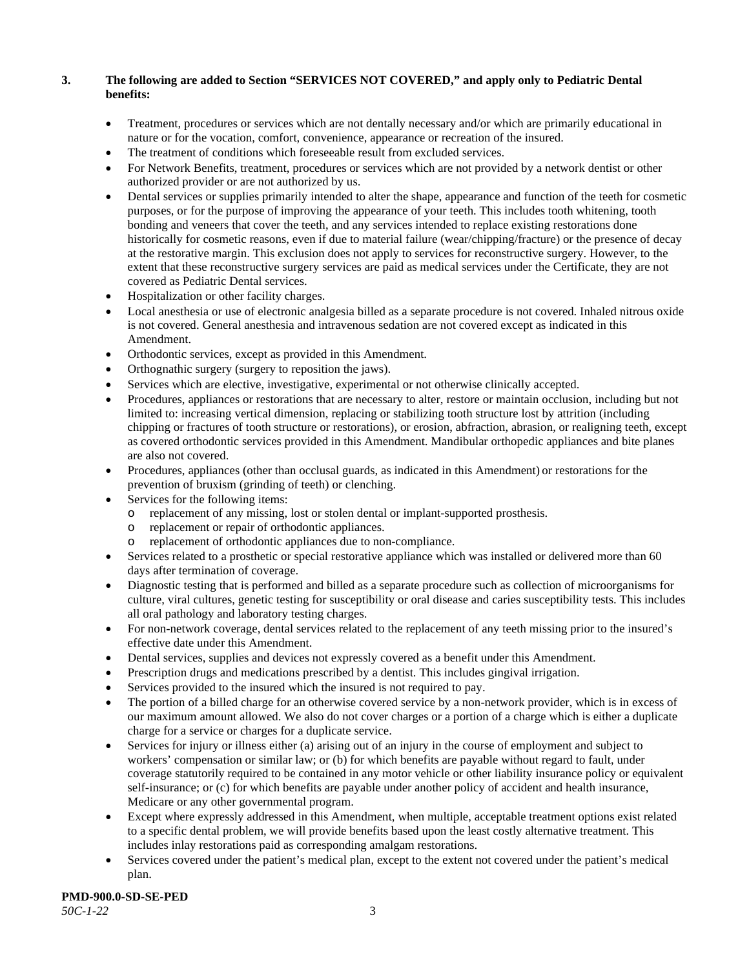# **3. The following are added to Section "SERVICES NOT COVERED," and apply only to Pediatric Dental benefits:**

- Treatment, procedures or services which are not dentally necessary and/or which are primarily educational in nature or for the vocation, comfort, convenience, appearance or recreation of the insured.
- The treatment of conditions which foreseeable result from excluded services.
- For Network Benefits, treatment, procedures or services which are not provided by a network dentist or other authorized provider or are not authorized by us.
- Dental services or supplies primarily intended to alter the shape, appearance and function of the teeth for cosmetic purposes, or for the purpose of improving the appearance of your teeth. This includes tooth whitening, tooth bonding and veneers that cover the teeth, and any services intended to replace existing restorations done historically for cosmetic reasons, even if due to material failure (wear/chipping/fracture) or the presence of decay at the restorative margin. This exclusion does not apply to services for reconstructive surgery. However, to the extent that these reconstructive surgery services are paid as medical services under the Certificate, they are not covered as Pediatric Dental services.
- Hospitalization or other facility charges.
- Local anesthesia or use of electronic analgesia billed as a separate procedure is not covered. Inhaled nitrous oxide is not covered. General anesthesia and intravenous sedation are not covered except as indicated in this Amendment.
- Orthodontic services, except as provided in this Amendment.
- Orthognathic surgery (surgery to reposition the jaws).
- Services which are elective, investigative, experimental or not otherwise clinically accepted.
- Procedures, appliances or restorations that are necessary to alter, restore or maintain occlusion, including but not limited to: increasing vertical dimension, replacing or stabilizing tooth structure lost by attrition (including chipping or fractures of tooth structure or restorations), or erosion, abfraction, abrasion, or realigning teeth, except as covered orthodontic services provided in this Amendment. Mandibular orthopedic appliances and bite planes are also not covered.
- Procedures, appliances (other than occlusal guards, as indicated in this Amendment) or restorations for the prevention of bruxism (grinding of teeth) or clenching.
- Services for the following items:
	- o replacement of any missing, lost or stolen dental or implant-supported prosthesis.
	- replacement or repair of orthodontic appliances.
	- replacement of orthodontic appliances due to non-compliance.
- Services related to a prosthetic or special restorative appliance which was installed or delivered more than 60 days after termination of coverage.
- Diagnostic testing that is performed and billed as a separate procedure such as collection of microorganisms for culture, viral cultures, genetic testing for susceptibility or oral disease and caries susceptibility tests. This includes all oral pathology and laboratory testing charges.
- For non-network coverage, dental services related to the replacement of any teeth missing prior to the insured's effective date under this Amendment.
- Dental services, supplies and devices not expressly covered as a benefit under this Amendment.
- Prescription drugs and medications prescribed by a dentist. This includes gingival irrigation.
- Services provided to the insured which the insured is not required to pay.
- The portion of a billed charge for an otherwise covered service by a non-network provider, which is in excess of our maximum amount allowed. We also do not cover charges or a portion of a charge which is either a duplicate charge for a service or charges for a duplicate service.
- Services for injury or illness either (a) arising out of an injury in the course of employment and subject to workers' compensation or similar law; or (b) for which benefits are payable without regard to fault, under coverage statutorily required to be contained in any motor vehicle or other liability insurance policy or equivalent self-insurance; or (c) for which benefits are payable under another policy of accident and health insurance, Medicare or any other governmental program.
- Except where expressly addressed in this Amendment, when multiple, acceptable treatment options exist related to a specific dental problem, we will provide benefits based upon the least costly alternative treatment. This includes inlay restorations paid as corresponding amalgam restorations.
- Services covered under the patient's medical plan, except to the extent not covered under the patient's medical plan.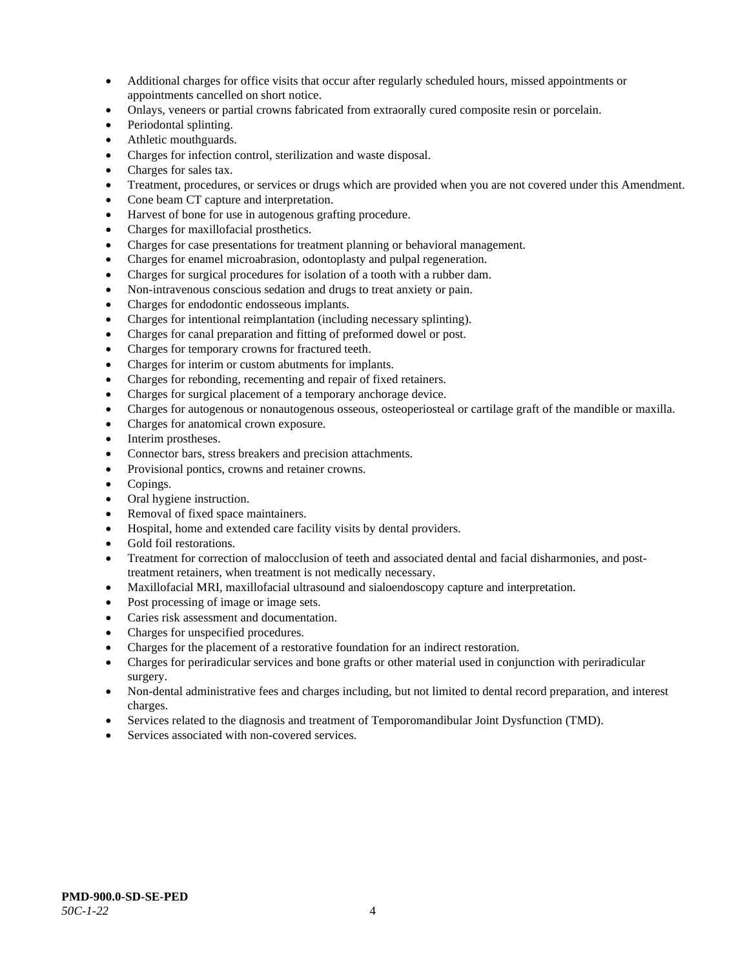- Additional charges for office visits that occur after regularly scheduled hours, missed appointments or appointments cancelled on short notice.
- Onlays, veneers or partial crowns fabricated from extraorally cured composite resin or porcelain.
- Periodontal splinting.
- Athletic mouthguards.
- Charges for infection control, sterilization and waste disposal.
- Charges for sales tax.
- Treatment, procedures, or services or drugs which are provided when you are not covered under this Amendment.
- Cone beam CT capture and interpretation.
- Harvest of bone for use in autogenous grafting procedure.
- Charges for maxillofacial prosthetics.
- Charges for case presentations for treatment planning or behavioral management.
- Charges for enamel microabrasion, odontoplasty and pulpal regeneration.
- Charges for surgical procedures for isolation of a tooth with a rubber dam.
- Non-intravenous conscious sedation and drugs to treat anxiety or pain.
- Charges for endodontic endosseous implants.
- Charges for intentional reimplantation (including necessary splinting).
- Charges for canal preparation and fitting of preformed dowel or post.
- Charges for temporary crowns for fractured teeth.
- Charges for interim or custom abutments for implants.
- Charges for rebonding, recementing and repair of fixed retainers.
- Charges for surgical placement of a temporary anchorage device.
- Charges for autogenous or nonautogenous osseous, osteoperiosteal or cartilage graft of the mandible or maxilla.
- Charges for anatomical crown exposure.
- Interim prostheses.
- Connector bars, stress breakers and precision attachments.
- Provisional pontics, crowns and retainer crowns.
- Copings.
- Oral hygiene instruction.
- Removal of fixed space maintainers.
- Hospital, home and extended care facility visits by dental providers.
- Gold foil restorations.
- Treatment for correction of malocclusion of teeth and associated dental and facial disharmonies, and posttreatment retainers, when treatment is not medically necessary.
- Maxillofacial MRI, maxillofacial ultrasound and sialoendoscopy capture and interpretation.
- Post processing of image or image sets.
- Caries risk assessment and documentation.
- Charges for unspecified procedures.
- Charges for the placement of a restorative foundation for an indirect restoration.
- Charges for periradicular services and bone grafts or other material used in conjunction with periradicular surgery.
- Non-dental administrative fees and charges including, but not limited to dental record preparation, and interest charges.
- Services related to the diagnosis and treatment of Temporomandibular Joint Dysfunction (TMD).
- Services associated with non-covered services.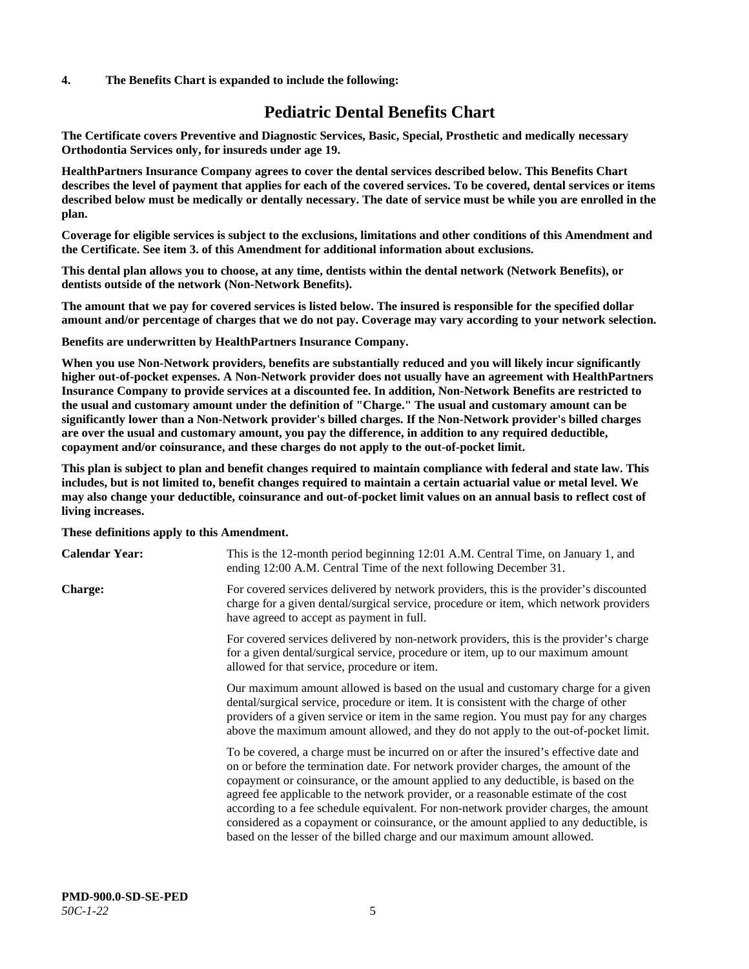#### **4. The Benefits Chart is expanded to include the following:**

# **Pediatric Dental Benefits Chart**

**The Certificate covers Preventive and Diagnostic Services, Basic, Special, Prosthetic and medically necessary Orthodontia Services only, for insureds under age 19.**

**HealthPartners Insurance Company agrees to cover the dental services described below. This Benefits Chart describes the level of payment that applies for each of the covered services. To be covered, dental services or items described below must be medically or dentally necessary. The date of service must be while you are enrolled in the plan.**

**Coverage for eligible services is subject to the exclusions, limitations and other conditions of this Amendment and the Certificate. See item 3. of this Amendment for additional information about exclusions.**

**This dental plan allows you to choose, at any time, dentists within the dental network (Network Benefits), or dentists outside of the network (Non-Network Benefits).**

**The amount that we pay for covered services is listed below. The insured is responsible for the specified dollar amount and/or percentage of charges that we do not pay. Coverage may vary according to your network selection.**

**Benefits are underwritten by HealthPartners Insurance Company.**

**When you use Non-Network providers, benefits are substantially reduced and you will likely incur significantly higher out-of-pocket expenses. A Non-Network provider does not usually have an agreement with HealthPartners Insurance Company to provide services at a discounted fee. In addition, Non-Network Benefits are restricted to the usual and customary amount under the definition of "Charge." The usual and customary amount can be significantly lower than a Non-Network provider's billed charges. If the Non-Network provider's billed charges are over the usual and customary amount, you pay the difference, in addition to any required deductible, copayment and/or coinsurance, and these charges do not apply to the out-of-pocket limit.**

**This plan is subject to plan and benefit changes required to maintain compliance with federal and state law. This includes, but is not limited to, benefit changes required to maintain a certain actuarial value or metal level. We may also change your deductible, coinsurance and out-of-pocket limit values on an annual basis to reflect cost of living increases.**

#### **These definitions apply to this Amendment.**

| <b>Calendar Year:</b> | This is the 12-month period beginning 12:01 A.M. Central Time, on January 1, and<br>ending 12:00 A.M. Central Time of the next following December 31.                                                                                                                                                                                                                                                                                                                                                                                                                                                                 |
|-----------------------|-----------------------------------------------------------------------------------------------------------------------------------------------------------------------------------------------------------------------------------------------------------------------------------------------------------------------------------------------------------------------------------------------------------------------------------------------------------------------------------------------------------------------------------------------------------------------------------------------------------------------|
| <b>Charge:</b>        | For covered services delivered by network providers, this is the provider's discounted<br>charge for a given dental/surgical service, procedure or item, which network providers<br>have agreed to accept as payment in full.                                                                                                                                                                                                                                                                                                                                                                                         |
|                       | For covered services delivered by non-network providers, this is the provider's charge<br>for a given dental/surgical service, procedure or item, up to our maximum amount<br>allowed for that service, procedure or item.                                                                                                                                                                                                                                                                                                                                                                                            |
|                       | Our maximum amount allowed is based on the usual and customary charge for a given<br>dental/surgical service, procedure or item. It is consistent with the charge of other<br>providers of a given service or item in the same region. You must pay for any charges<br>above the maximum amount allowed, and they do not apply to the out-of-pocket limit.                                                                                                                                                                                                                                                            |
|                       | To be covered, a charge must be incurred on or after the insured's effective date and<br>on or before the termination date. For network provider charges, the amount of the<br>copayment or coinsurance, or the amount applied to any deductible, is based on the<br>agreed fee applicable to the network provider, or a reasonable estimate of the cost<br>according to a fee schedule equivalent. For non-network provider charges, the amount<br>considered as a copayment or coinsurance, or the amount applied to any deductible, is<br>based on the lesser of the billed charge and our maximum amount allowed. |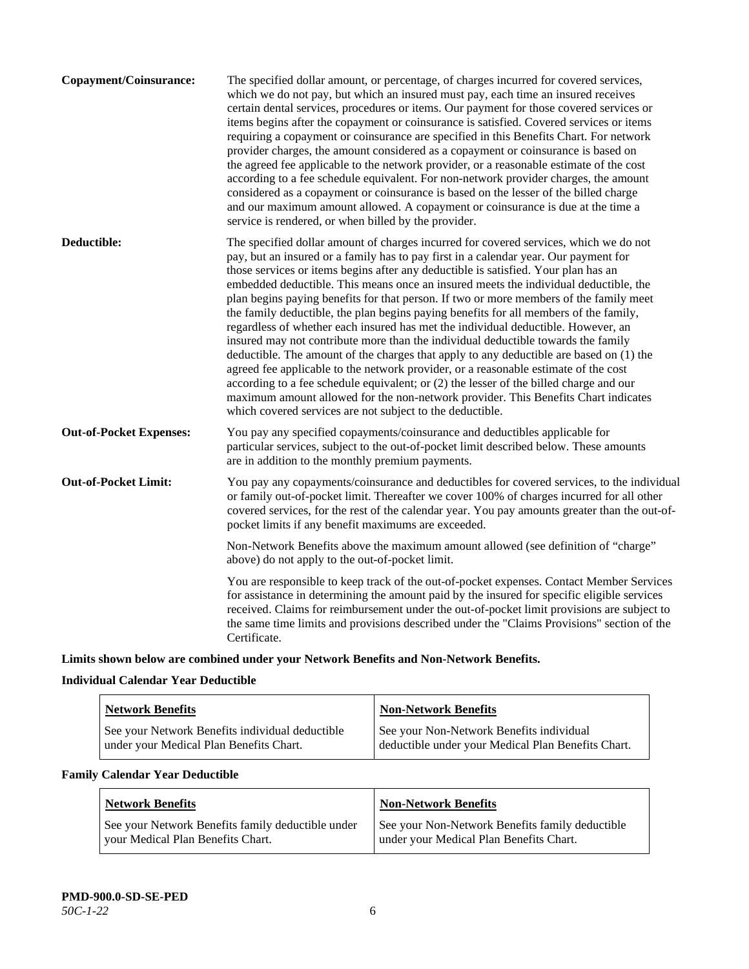| The specified dollar amount, or percentage, of charges incurred for covered services,<br>which we do not pay, but which an insured must pay, each time an insured receives<br>certain dental services, procedures or items. Our payment for those covered services or<br>items begins after the copayment or coinsurance is satisfied. Covered services or items<br>requiring a copayment or coinsurance are specified in this Benefits Chart. For network<br>provider charges, the amount considered as a copayment or coinsurance is based on<br>the agreed fee applicable to the network provider, or a reasonable estimate of the cost<br>according to a fee schedule equivalent. For non-network provider charges, the amount<br>considered as a copayment or coinsurance is based on the lesser of the billed charge<br>and our maximum amount allowed. A copayment or coinsurance is due at the time a<br>service is rendered, or when billed by the provider.                                                                                                                                                                                   |
|---------------------------------------------------------------------------------------------------------------------------------------------------------------------------------------------------------------------------------------------------------------------------------------------------------------------------------------------------------------------------------------------------------------------------------------------------------------------------------------------------------------------------------------------------------------------------------------------------------------------------------------------------------------------------------------------------------------------------------------------------------------------------------------------------------------------------------------------------------------------------------------------------------------------------------------------------------------------------------------------------------------------------------------------------------------------------------------------------------------------------------------------------------|
| The specified dollar amount of charges incurred for covered services, which we do not<br>pay, but an insured or a family has to pay first in a calendar year. Our payment for<br>those services or items begins after any deductible is satisfied. Your plan has an<br>embedded deductible. This means once an insured meets the individual deductible, the<br>plan begins paying benefits for that person. If two or more members of the family meet<br>the family deductible, the plan begins paying benefits for all members of the family,<br>regardless of whether each insured has met the individual deductible. However, an<br>insured may not contribute more than the individual deductible towards the family<br>deductible. The amount of the charges that apply to any deductible are based on (1) the<br>agreed fee applicable to the network provider, or a reasonable estimate of the cost<br>according to a fee schedule equivalent; or (2) the lesser of the billed charge and our<br>maximum amount allowed for the non-network provider. This Benefits Chart indicates<br>which covered services are not subject to the deductible. |
| You pay any specified copayments/coinsurance and deductibles applicable for<br>particular services, subject to the out-of-pocket limit described below. These amounts<br>are in addition to the monthly premium payments.                                                                                                                                                                                                                                                                                                                                                                                                                                                                                                                                                                                                                                                                                                                                                                                                                                                                                                                               |
| You pay any copayments/coinsurance and deductibles for covered services, to the individual<br>or family out-of-pocket limit. Thereafter we cover 100% of charges incurred for all other<br>covered services, for the rest of the calendar year. You pay amounts greater than the out-of-<br>pocket limits if any benefit maximums are exceeded.                                                                                                                                                                                                                                                                                                                                                                                                                                                                                                                                                                                                                                                                                                                                                                                                         |
| Non-Network Benefits above the maximum amount allowed (see definition of "charge"<br>above) do not apply to the out-of-pocket limit.                                                                                                                                                                                                                                                                                                                                                                                                                                                                                                                                                                                                                                                                                                                                                                                                                                                                                                                                                                                                                    |
| You are responsible to keep track of the out-of-pocket expenses. Contact Member Services<br>for assistance in determining the amount paid by the insured for specific eligible services<br>received. Claims for reimbursement under the out-of-pocket limit provisions are subject to<br>the same time limits and provisions described under the "Claims Provisions" section of the<br>Certificate.                                                                                                                                                                                                                                                                                                                                                                                                                                                                                                                                                                                                                                                                                                                                                     |
|                                                                                                                                                                                                                                                                                                                                                                                                                                                                                                                                                                                                                                                                                                                                                                                                                                                                                                                                                                                                                                                                                                                                                         |

**Limits shown below are combined under your Network Benefits and Non-Network Benefits.**

# **Individual Calendar Year Deductible**

| <b>Network Benefits</b>                                                                    | <b>Non-Network Benefits</b>                                                                    |
|--------------------------------------------------------------------------------------------|------------------------------------------------------------------------------------------------|
| See your Network Benefits individual deductible<br>under your Medical Plan Benefits Chart. | See your Non-Network Benefits individual<br>deductible under your Medical Plan Benefits Chart. |

# **Family Calendar Year Deductible**

| Network Benefits                                                                       | <b>Non-Network Benefits</b>                                                                |
|----------------------------------------------------------------------------------------|--------------------------------------------------------------------------------------------|
| See your Network Benefits family deductible under<br>vour Medical Plan Benefits Chart. | See your Non-Network Benefits family deductible<br>under your Medical Plan Benefits Chart. |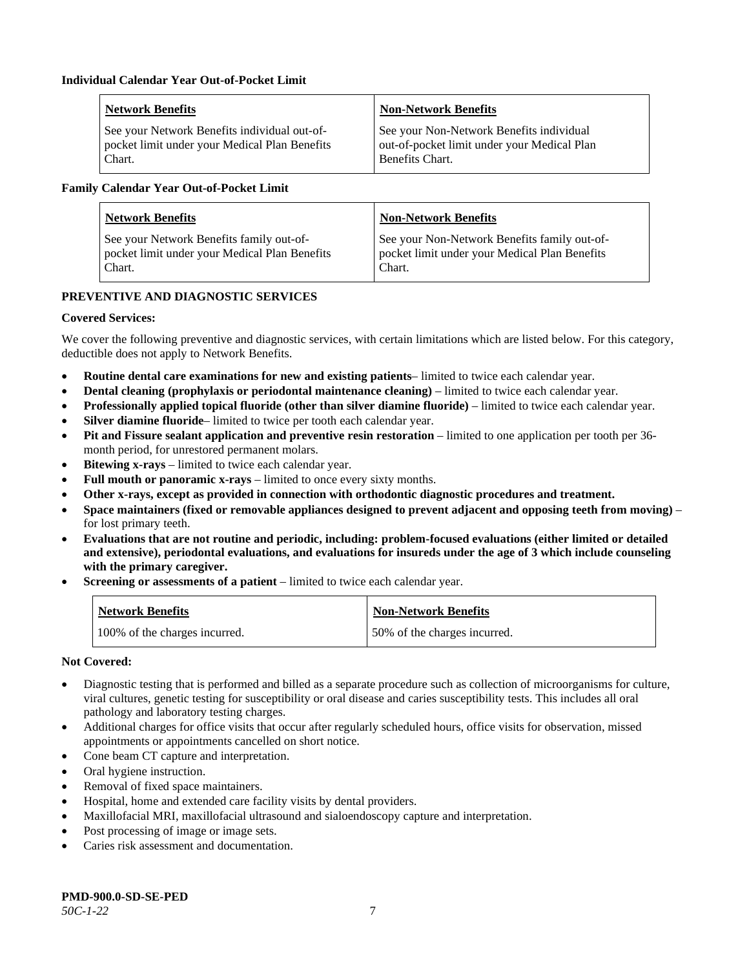| <b>Network Benefits</b>                       | <b>Non-Network Benefits</b>                 |
|-----------------------------------------------|---------------------------------------------|
| See your Network Benefits individual out-of-  | See your Non-Network Benefits individual    |
| pocket limit under your Medical Plan Benefits | out-of-pocket limit under your Medical Plan |
| Chart.                                        | Benefits Chart.                             |

# **Family Calendar Year Out-of-Pocket Limit**

| <b>Network Benefits</b>                       | <b>Non-Network Benefits</b>                   |
|-----------------------------------------------|-----------------------------------------------|
| See your Network Benefits family out-of-      | See your Non-Network Benefits family out-of-  |
| pocket limit under your Medical Plan Benefits | pocket limit under your Medical Plan Benefits |
| Chart.                                        | Chart.                                        |

# **PREVENTIVE AND DIAGNOSTIC SERVICES**

# **Covered Services:**

We cover the following preventive and diagnostic services, with certain limitations which are listed below. For this category, deductible does not apply to Network Benefits.

- **Routine dental care examinations for new and existing patients** limited to twice each calendar year.
- **Dental cleaning (prophylaxis or periodontal maintenance cleaning)** limited to twice each calendar year.
- **Professionally applied topical fluoride (other than silver diamine fluoride)** limited to twice each calendar year.
- **Silver diamine fluoride** limited to twice per tooth each calendar year.
- **Pit and Fissure sealant application and preventive resin restoration** limited to one application per tooth per 36 month period, for unrestored permanent molars.
- **Bitewing x-rays** limited to twice each calendar year.
- **Full mouth or panoramic x-rays** limited to once every sixty months.
- **Other x-rays, except as provided in connection with orthodontic diagnostic procedures and treatment.**
- **Space maintainers (fixed or removable appliances designed to prevent adjacent and opposing teeth from moving)** for lost primary teeth.
- **Evaluations that are not routine and periodic, including: problem-focused evaluations (either limited or detailed and extensive), periodontal evaluations, and evaluations for insureds under the age of 3 which include counseling with the primary caregiver.**
- **Screening or assessments of a patient** limited to twice each calendar year.

| <b>Network Benefits</b>       | <b>Non-Network Benefits</b>  |
|-------------------------------|------------------------------|
| 100% of the charges incurred. | 50% of the charges incurred. |

- Diagnostic testing that is performed and billed as a separate procedure such as collection of microorganisms for culture, viral cultures, genetic testing for susceptibility or oral disease and caries susceptibility tests. This includes all oral pathology and laboratory testing charges.
- Additional charges for office visits that occur after regularly scheduled hours, office visits for observation, missed appointments or appointments cancelled on short notice.
- Cone beam CT capture and interpretation.
- Oral hygiene instruction.
- Removal of fixed space maintainers.
- Hospital, home and extended care facility visits by dental providers.
- Maxillofacial MRI, maxillofacial ultrasound and sialoendoscopy capture and interpretation.
- Post processing of image or image sets.
- Caries risk assessment and documentation.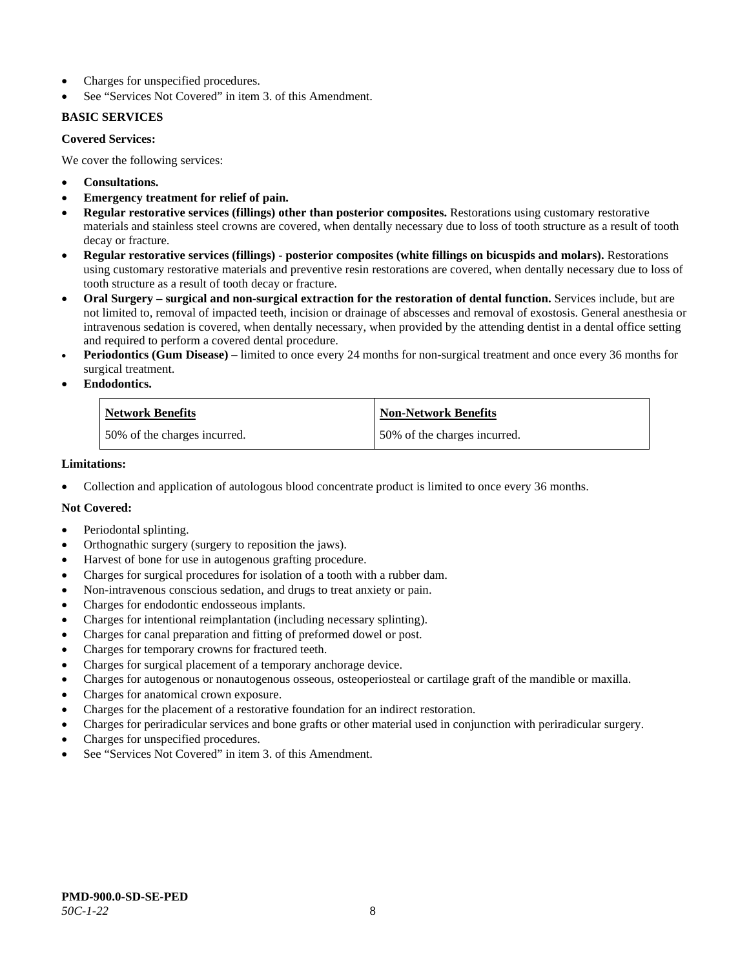- Charges for unspecified procedures.
- See "Services Not Covered" in item 3. of this Amendment.

# **BASIC SERVICES**

# **Covered Services:**

We cover the following services:

- **Consultations.**
- **Emergency treatment for relief of pain.**
- **Regular restorative services (fillings) other than posterior composites.** Restorations using customary restorative materials and stainless steel crowns are covered, when dentally necessary due to loss of tooth structure as a result of tooth decay or fracture.
- **Regular restorative services (fillings) - posterior composites (white fillings on bicuspids and molars).** Restorations using customary restorative materials and preventive resin restorations are covered, when dentally necessary due to loss of tooth structure as a result of tooth decay or fracture.
- **Oral Surgery – surgical and non-surgical extraction for the restoration of dental function.** Services include, but are not limited to, removal of impacted teeth, incision or drainage of abscesses and removal of exostosis. General anesthesia or intravenous sedation is covered, when dentally necessary, when provided by the attending dentist in a dental office setting and required to perform a covered dental procedure.
- **Periodontics (Gum Disease)** limited to once every 24 months for non-surgical treatment and once every 36 months for surgical treatment.
- **Endodontics.**

| <b>Network Benefits</b>      | <b>Non-Network Benefits</b>  |
|------------------------------|------------------------------|
| 50% of the charges incurred. | 50% of the charges incurred. |

### **Limitations:**

• Collection and application of autologous blood concentrate product is limited to once every 36 months.

- Periodontal splinting.
- Orthognathic surgery (surgery to reposition the jaws).
- Harvest of bone for use in autogenous grafting procedure.
- Charges for surgical procedures for isolation of a tooth with a rubber dam.
- Non-intravenous conscious sedation, and drugs to treat anxiety or pain.
- Charges for endodontic endosseous implants.
- Charges for intentional reimplantation (including necessary splinting).
- Charges for canal preparation and fitting of preformed dowel or post.
- Charges for temporary crowns for fractured teeth.
- Charges for surgical placement of a temporary anchorage device.
- Charges for autogenous or nonautogenous osseous, osteoperiosteal or cartilage graft of the mandible or maxilla.
- Charges for anatomical crown exposure.
- Charges for the placement of a restorative foundation for an indirect restoration.
- Charges for periradicular services and bone grafts or other material used in conjunction with periradicular surgery.
- Charges for unspecified procedures.
- See "Services Not Covered" in item 3. of this Amendment.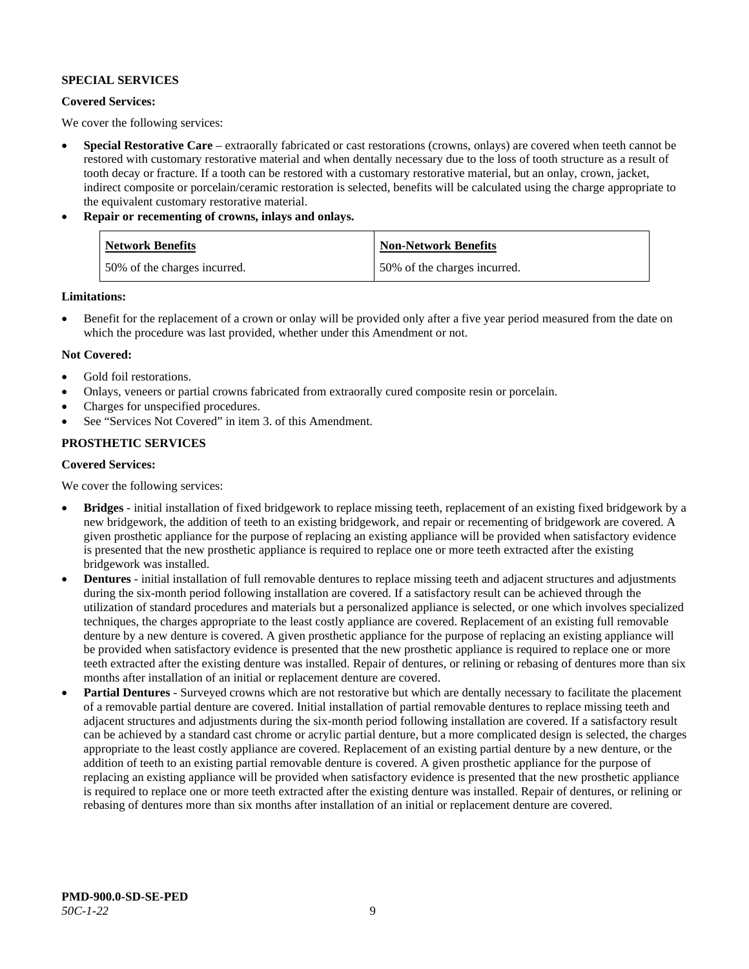# **SPECIAL SERVICES**

# **Covered Services:**

We cover the following services:

- **Special Restorative Care** extraorally fabricated or cast restorations (crowns, onlays) are covered when teeth cannot be restored with customary restorative material and when dentally necessary due to the loss of tooth structure as a result of tooth decay or fracture. If a tooth can be restored with a customary restorative material, but an onlay, crown, jacket, indirect composite or porcelain/ceramic restoration is selected, benefits will be calculated using the charge appropriate to the equivalent customary restorative material.
- **Repair or recementing of crowns, inlays and onlays.**

| <b>Network Benefits</b>      | <b>Non-Network Benefits</b>  |
|------------------------------|------------------------------|
| 50% of the charges incurred. | 50% of the charges incurred. |

**Limitations:**

• Benefit for the replacement of a crown or onlay will be provided only after a five year period measured from the date on which the procedure was last provided, whether under this Amendment or not.

# **Not Covered:**

- Gold foil restorations.
- Onlays, veneers or partial crowns fabricated from extraorally cured composite resin or porcelain.
- Charges for unspecified procedures.
- See "Services Not Covered" in item 3. of this Amendment.

# **PROSTHETIC SERVICES**

### **Covered Services:**

We cover the following services:

- **Bridges** initial installation of fixed bridgework to replace missing teeth, replacement of an existing fixed bridgework by a new bridgework, the addition of teeth to an existing bridgework, and repair or recementing of bridgework are covered. A given prosthetic appliance for the purpose of replacing an existing appliance will be provided when satisfactory evidence is presented that the new prosthetic appliance is required to replace one or more teeth extracted after the existing bridgework was installed.
- **Dentures** initial installation of full removable dentures to replace missing teeth and adjacent structures and adjustments during the six-month period following installation are covered. If a satisfactory result can be achieved through the utilization of standard procedures and materials but a personalized appliance is selected, or one which involves specialized techniques, the charges appropriate to the least costly appliance are covered. Replacement of an existing full removable denture by a new denture is covered. A given prosthetic appliance for the purpose of replacing an existing appliance will be provided when satisfactory evidence is presented that the new prosthetic appliance is required to replace one or more teeth extracted after the existing denture was installed. Repair of dentures, or relining or rebasing of dentures more than six months after installation of an initial or replacement denture are covered.
- **Partial Dentures** Surveyed crowns which are not restorative but which are dentally necessary to facilitate the placement of a removable partial denture are covered. Initial installation of partial removable dentures to replace missing teeth and adjacent structures and adjustments during the six-month period following installation are covered. If a satisfactory result can be achieved by a standard cast chrome or acrylic partial denture, but a more complicated design is selected, the charges appropriate to the least costly appliance are covered. Replacement of an existing partial denture by a new denture, or the addition of teeth to an existing partial removable denture is covered. A given prosthetic appliance for the purpose of replacing an existing appliance will be provided when satisfactory evidence is presented that the new prosthetic appliance is required to replace one or more teeth extracted after the existing denture was installed. Repair of dentures, or relining or rebasing of dentures more than six months after installation of an initial or replacement denture are covered.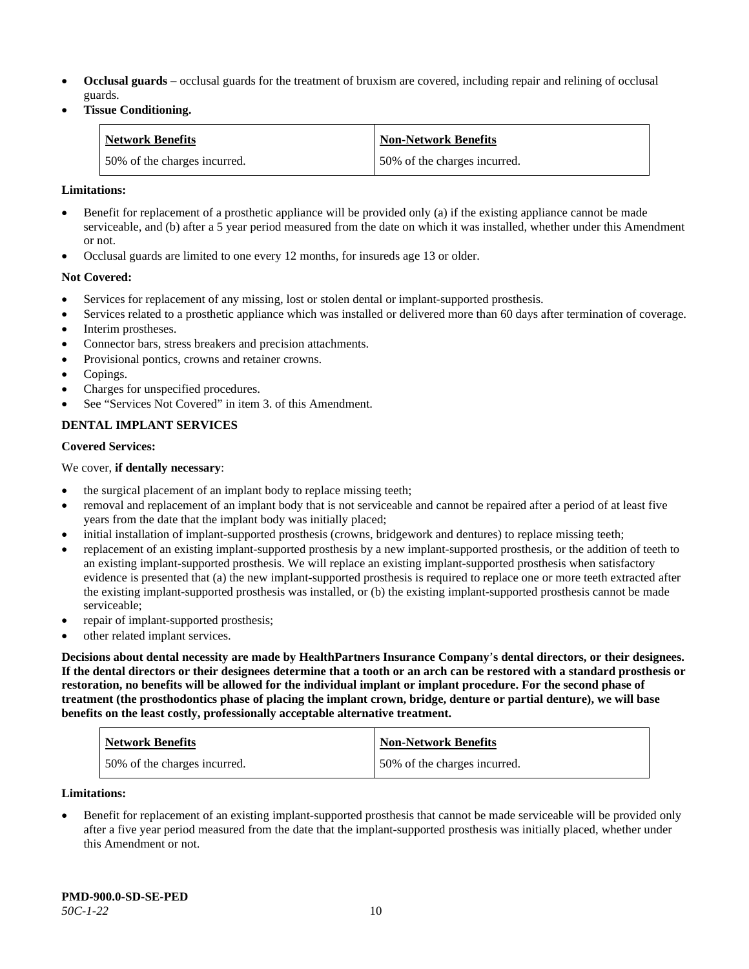- **Occlusal guards** occlusal guards for the treatment of bruxism are covered, including repair and relining of occlusal guards.
- **Tissue Conditioning.**

| <b>Network Benefits</b>      | <b>Non-Network Benefits</b>  |
|------------------------------|------------------------------|
| 50% of the charges incurred. | 50% of the charges incurred. |

### **Limitations:**

- Benefit for replacement of a prosthetic appliance will be provided only (a) if the existing appliance cannot be made serviceable, and (b) after a 5 year period measured from the date on which it was installed, whether under this Amendment or not.
- Occlusal guards are limited to one every 12 months, for insureds age 13 or older.

### **Not Covered:**

- Services for replacement of any missing, lost or stolen dental or implant-supported prosthesis.
- Services related to a prosthetic appliance which was installed or delivered more than 60 days after termination of coverage. Interim prostheses.
- Connector bars, stress breakers and precision attachments.
- Provisional pontics, crowns and retainer crowns.
- Copings.
- Charges for unspecified procedures.
- See "Services Not Covered" in item 3. of this Amendment.

# **DENTAL IMPLANT SERVICES**

#### **Covered Services:**

### We cover, **if dentally necessary**:

- the surgical placement of an implant body to replace missing teeth;
- removal and replacement of an implant body that is not serviceable and cannot be repaired after a period of at least five years from the date that the implant body was initially placed;
- initial installation of implant-supported prosthesis (crowns, bridgework and dentures) to replace missing teeth;
- replacement of an existing implant-supported prosthesis by a new implant-supported prosthesis, or the addition of teeth to an existing implant-supported prosthesis. We will replace an existing implant-supported prosthesis when satisfactory evidence is presented that (a) the new implant-supported prosthesis is required to replace one or more teeth extracted after the existing implant-supported prosthesis was installed, or (b) the existing implant-supported prosthesis cannot be made serviceable;
- repair of implant-supported prosthesis;
- other related implant services.

**Decisions about dental necessity are made by HealthPartners Insurance Company**'**s dental directors, or their designees. If the dental directors or their designees determine that a tooth or an arch can be restored with a standard prosthesis or restoration, no benefits will be allowed for the individual implant or implant procedure. For the second phase of treatment (the prosthodontics phase of placing the implant crown, bridge, denture or partial denture), we will base benefits on the least costly, professionally acceptable alternative treatment.**

| <b>Network Benefits</b>      | <b>Non-Network Benefits</b>  |
|------------------------------|------------------------------|
| 50% of the charges incurred. | 50% of the charges incurred. |

#### **Limitations:**

• Benefit for replacement of an existing implant-supported prosthesis that cannot be made serviceable will be provided only after a five year period measured from the date that the implant-supported prosthesis was initially placed, whether under this Amendment or not.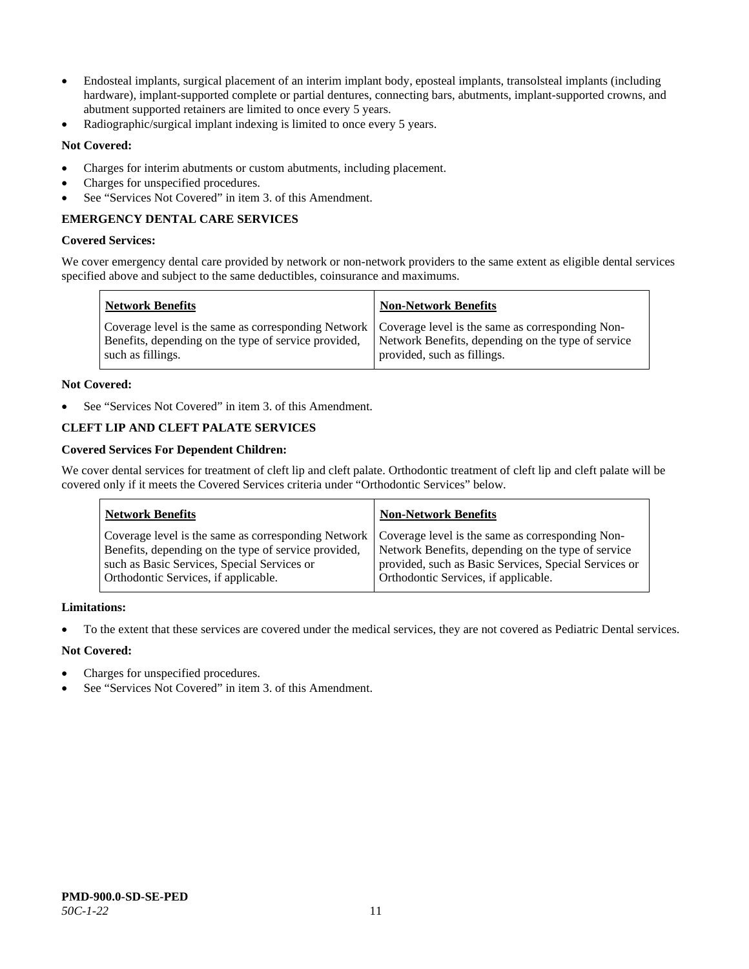- Endosteal implants, surgical placement of an interim implant body, eposteal implants, transolsteal implants (including hardware), implant-supported complete or partial dentures, connecting bars, abutments, implant-supported crowns, and abutment supported retainers are limited to once every 5 years.
- Radiographic/surgical implant indexing is limited to once every 5 years.

# **Not Covered:**

- Charges for interim abutments or custom abutments, including placement.
- Charges for unspecified procedures.
- See "Services Not Covered" in item 3. of this Amendment.

# **EMERGENCY DENTAL CARE SERVICES**

### **Covered Services:**

We cover emergency dental care provided by network or non-network providers to the same extent as eligible dental services specified above and subject to the same deductibles, coinsurance and maximums.

| <b>Network Benefits</b>                                                                                                                                                             | <b>Non-Network Benefits</b>                                                       |
|-------------------------------------------------------------------------------------------------------------------------------------------------------------------------------------|-----------------------------------------------------------------------------------|
| Coverage level is the same as corresponding Network   Coverage level is the same as corresponding Non-<br>Benefits, depending on the type of service provided,<br>such as fillings. | Network Benefits, depending on the type of service<br>provided, such as fillings. |

# **Not Covered:**

See "Services Not Covered" in item 3. of this Amendment.

# **CLEFT LIP AND CLEFT PALATE SERVICES**

# **Covered Services For Dependent Children:**

We cover dental services for treatment of cleft lip and cleft palate. Orthodontic treatment of cleft lip and cleft palate will be covered only if it meets the Covered Services criteria under "Orthodontic Services" below.

| <b>Network Benefits</b>                              | <b>Non-Network Benefits</b>                           |
|------------------------------------------------------|-------------------------------------------------------|
| Coverage level is the same as corresponding Network  | Coverage level is the same as corresponding Non-      |
| Benefits, depending on the type of service provided, | Network Benefits, depending on the type of service    |
| such as Basic Services, Special Services or          | provided, such as Basic Services, Special Services or |
| Orthodontic Services, if applicable.                 | Orthodontic Services, if applicable.                  |

### **Limitations:**

• To the extent that these services are covered under the medical services, they are not covered as Pediatric Dental services.

- Charges for unspecified procedures.
- See "Services Not Covered" in item 3. of this Amendment.